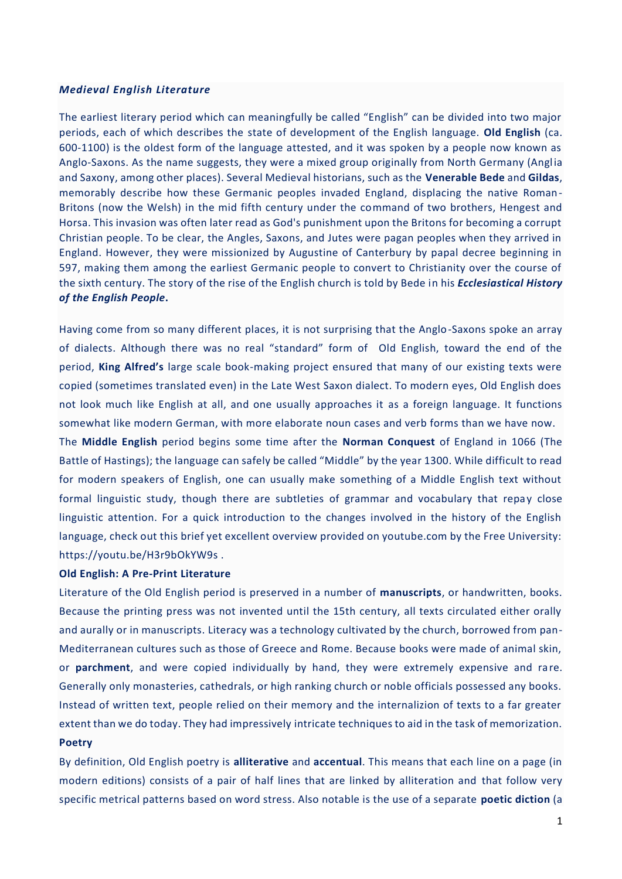#### *Medieval English Literature*

The earliest literary period which can meaningfully be called "English" can be divided into two major periods, each of which describes the state of development of the English language. **Old English** (ca. 600-1100) is the oldest form of the language attested, and it was spoken by a people now known as Anglo-Saxons. As the name suggests, they were a mixed group originally from North Germany (Anglia and Saxony, among other places). Several Medieval historians, such as the **Venerable Bede** and **Gildas**, memorably describe how these Germanic peoples invaded England, displacing the native Roman-Britons (now the Welsh) in the mid fifth century under the command of two brothers, Hengest and Horsa. This invasion was often later read as God's punishment upon the Britons for becoming a corrupt Christian people. To be clear, the Angles, Saxons, and Jutes were pagan peoples when they arrived in England. However, they were missionized by Augustine of Canterbury by papal decree beginning in 597, making them among the earliest Germanic people to convert to Christianity over the course of the sixth century. The story of the rise of the English church is told by Bede in his *Ecclesiastical History of the English People***.**

Having come from so many different places, it is not surprising that the Anglo-Saxons spoke an array of dialects. Although there was no real "standard" form of Old English, toward the end of the period, **King Alfred's** large scale book-making project ensured that many of our existing texts were copied (sometimes translated even) in the Late West Saxon dialect. To modern eyes, Old English does not look much like English at all, and one usually approaches it as a foreign language. It functions somewhat like modern German, with more elaborate noun cases and verb forms than we have now.

The **Middle English** period begins some time after the **Norman Conquest** of England in 1066 (The Battle of Hastings); the language can safely be called "Middle" by the year 1300. While difficult to read for modern speakers of English, one can usually make something of a Middle English text without formal linguistic study, though there are subtleties of grammar and vocabulary that repay close linguistic attention. For a quick introduction to the changes involved in the history of the English language, check out this brief yet excellent overview provided on youtube.com by the Free University: https://youtu.be/H3r9bOkYW9s .

#### **Old English: A Pre-Print Literature**

Literature of the Old English period is preserved in a number of **manuscripts**, or handwritten, books. Because the printing press was not invented until the 15th century, all texts circulated either orally and aurally or in manuscripts. Literacy was a technology cultivated by the church, borrowed from pan-Mediterranean cultures such as those of Greece and Rome. Because books were made of animal skin, or **parchment**, and were copied individually by hand, they were extremely expensive and rare. Generally only monasteries, cathedrals, or high ranking church or noble officials possessed any books. Instead of written text, people relied on their memory and the internalizion of texts to a far greater extent than we do today. They had impressively intricate techniques to aid in the task of memorization. **Poetry**

By definition, Old English poetry is **alliterative** and **accentual**. This means that each line on a page (in modern editions) consists of a pair of half lines that are linked by alliteration and that follow very specific metrical patterns based on word stress. Also notable is the use of a separate **poetic diction** (a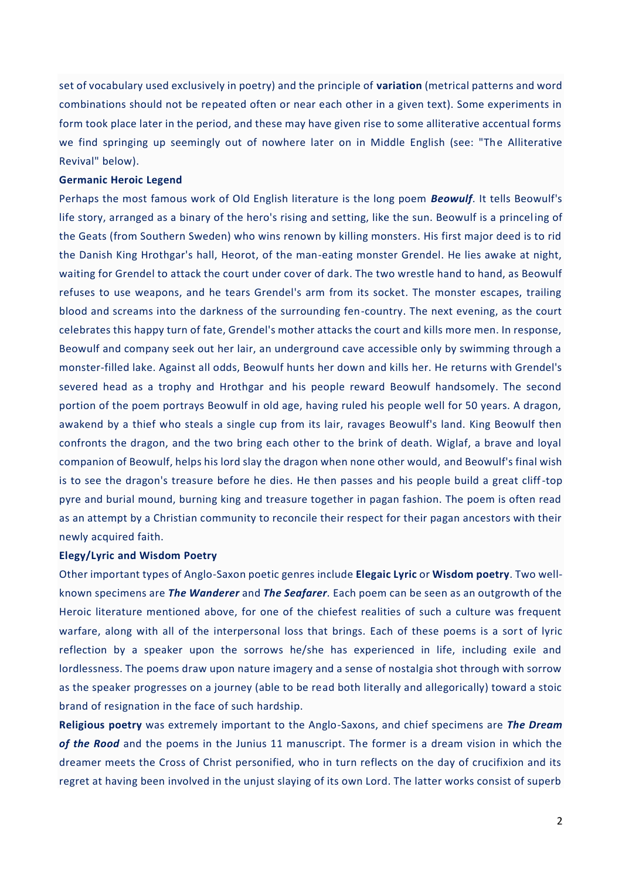set of vocabulary used exclusively in poetry) and the principle of **variation** (metrical patterns and word combinations should not be repeated often or near each other in a given text). Some experiments in form took place later in the period, and these may have given rise to some alliterative accentual forms we find springing up seemingly out of nowhere later on in Middle English (see: "The Alliterative Revival" below).

# **Germanic Heroic Legend**

Perhaps the most famous work of Old English literature is the long poem *Beowulf*. It tells Beowulf's life story, arranged as a binary of the hero's rising and setting, like the sun. Beowulf is a princel ing of the Geats (from Southern Sweden) who wins renown by killing monsters. His first major deed is to rid the Danish King Hrothgar's hall, Heorot, of the man-eating monster Grendel. He lies awake at night, waiting for Grendel to attack the court under cover of dark. The two wrestle hand to hand, as Beowulf refuses to use weapons, and he tears Grendel's arm from its socket. The monster escapes, trailing blood and screams into the darkness of the surrounding fen-country. The next evening, as the court celebrates this happy turn of fate, Grendel's mother attacks the court and kills more men. In response, Beowulf and company seek out her lair, an underground cave accessible only by swimming through a monster-filled lake. Against all odds, Beowulf hunts her down and kills her. He returns with Grendel's severed head as a trophy and Hrothgar and his people reward Beowulf handsomely. The second portion of the poem portrays Beowulf in old age, having ruled his people well for 50 years. A dragon, awakend by a thief who steals a single cup from its lair, ravages Beowulf's land. King Beowulf then confronts the dragon, and the two bring each other to the brink of death. Wiglaf, a brave and loyal companion of Beowulf, helps his lord slay the dragon when none other would, and Beowulf's final wish is to see the dragon's treasure before he dies. He then passes and his people build a great cliff-top pyre and burial mound, burning king and treasure together in pagan fashion. The poem is often read as an attempt by a Christian community to reconcile their respect for their pagan ancestors with their newly acquired faith.

### **Elegy/Lyric and Wisdom Poetry**

Other important types of Anglo-Saxon poetic genres include **Elegaic Lyric** or **Wisdom poetry**. Two wellknown specimens are *The Wanderer* and *The Seafarer.* Each poem can be seen as an outgrowth of the Heroic literature mentioned above, for one of the chiefest realities of such a culture was frequent warfare, along with all of the interpersonal loss that brings. Each of these poems is a sort of lyric reflection by a speaker upon the sorrows he/she has experienced in life, including exile and lordlessness. The poems draw upon nature imagery and a sense of nostalgia shot through with sorrow as the speaker progresses on a journey (able to be read both literally and allegorically) toward a stoic brand of resignation in the face of such hardship.

**Religious poetry** was extremely important to the Anglo-Saxons, and chief specimens are *The Dream of the Rood* and the poems in the Junius 11 manuscript. The former is a dream vision in which the dreamer meets the Cross of Christ personified, who in turn reflects on the day of crucifixion and its regret at having been involved in the unjust slaying of its own Lord. The latter works consist of superb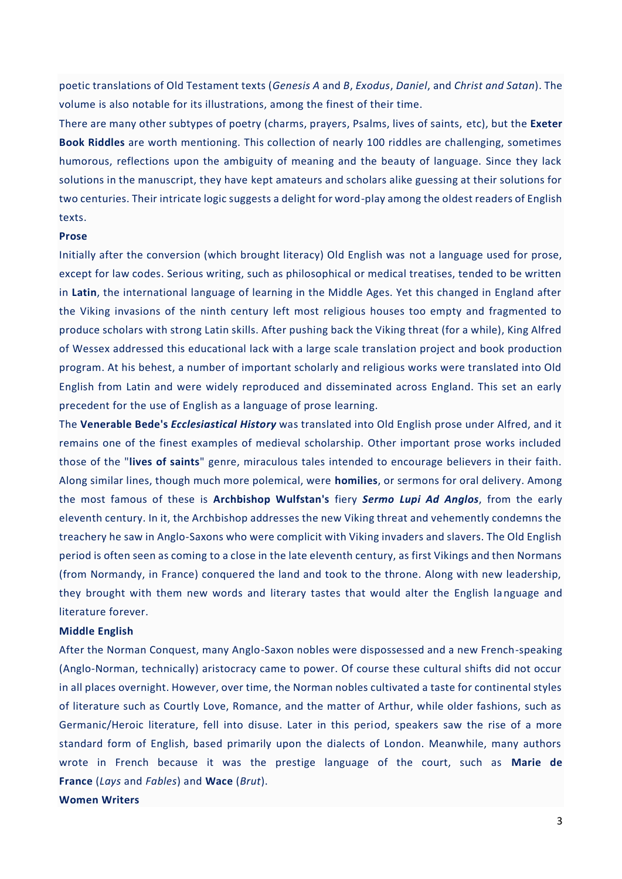poetic translations of Old Testament texts (*Genesis A* and *B*, *Exodus*, *Daniel*, and *Christ and Satan*). The volume is also notable for its illustrations, among the finest of their time.

There are many other subtypes of poetry (charms, prayers, Psalms, lives of saints, etc), but the **Exeter Book Riddles** are worth mentioning. This collection of nearly 100 riddles are challenging, sometimes humorous, reflections upon the ambiguity of meaning and the beauty of language. Since they lack solutions in the manuscript, they have kept amateurs and scholars alike guessing at their solutions for two centuries. Their intricate logic suggests a delight for word-play among the oldest readers of English texts.

#### **Prose**

Initially after the conversion (which brought literacy) Old English was not a language used for prose, except for law codes. Serious writing, such as philosophical or medical treatises, tended to be written in **Latin**, the international language of learning in the Middle Ages. Yet this changed in England after the Viking invasions of the ninth century left most religious houses too empty and fragmented to produce scholars with strong Latin skills. After pushing back the Viking threat (for a while), King Alfred of Wessex addressed this educational lack with a large scale translation project and book production program. At his behest, a number of important scholarly and religious works were translated into Old English from Latin and were widely reproduced and disseminated across England. This set an early precedent for the use of English as a language of prose learning.

The **Venerable Bede's** *Ecclesiastical History* was translated into Old English prose under Alfred, and it remains one of the finest examples of medieval scholarship. Other important prose works included those of the "**lives of saints**" genre, miraculous tales intended to encourage believers in their faith. Along similar lines, though much more polemical, were **homilies**, or sermons for oral delivery. Among the most famous of these is **Archbishop Wulfstan's** fiery *Sermo Lupi Ad Anglos*, from the early eleventh century. In it, the Archbishop addresses the new Viking threat and vehemently condemns the treachery he saw in Anglo-Saxons who were complicit with Viking invaders and slavers. The Old English period is often seen as coming to a close in the late eleventh century, as first Vikings and then Normans (from Normandy, in France) conquered the land and took to the throne. Along with new leadership, they brought with them new words and literary tastes that would alter the English language and literature forever.

### **Middle English**

After the Norman Conquest, many Anglo-Saxon nobles were dispossessed and a new French-speaking (Anglo-Norman, technically) aristocracy came to power. Of course these cultural shifts did not occur in all places overnight. However, over time, the Norman nobles cultivated a taste for continental styles of literature such as Courtly Love, Romance, and the matter of Arthur, while older fashions, such as Germanic/Heroic literature, fell into disuse. Later in this period, speakers saw the rise of a more standard form of English, based primarily upon the dialects of London. Meanwhile, many authors wrote in French because it was the prestige language of the court, such as **Marie de France** (*Lays* and *Fables*) and **Wace** (*Brut*).

**Women Writers**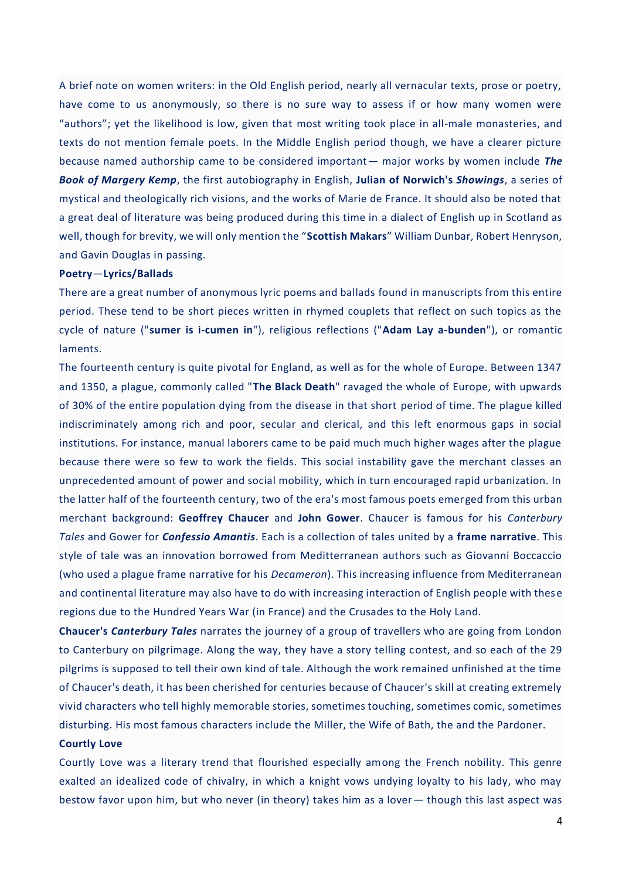A brief note on women writers: in the Old English period, nearly all vernacular texts, prose or poetry, have come to us anonymously, so there is no sure way to assess if or how many women were "authors"; yet the likelihood is low, given that most writing took place in all-male monasteries, and texts do not mention female poets. In the Middle English period though, we have a clearer picture because named authorship came to be considered important— major works by women include *The Book of Margery Kemp*, the first autobiography in English, **Julian of Norwich's** *Showings*, a series of mystical and theologically rich visions, and the works of Marie de France. It should also be noted that a great deal of literature was being produced during this time in a dialect of English up in Scotland as well, though for brevity, we will only mention the "**Scottish Makars**" William Dunbar, Robert Henryson, and Gavin Douglas in passing.

# **Poetry**—**Lyrics/Ballads**

There are a great number of anonymous lyric poems and ballads found in manuscripts from this entire period. These tend to be short pieces written in rhymed couplets that reflect on such topics as the cycle of nature ("**sumer is i-cumen in**"), religious reflections ("**Adam Lay a-bunden**"), or romantic laments.

The fourteenth century is quite pivotal for England, as well as for the whole of Europe. Between 1347 and 1350, a plague, commonly called "**The Black Death**" ravaged the whole of Europe, with upwards of 30% of the entire population dying from the disease in that short period of time. The plague killed indiscriminately among rich and poor, secular and clerical, and this left enormous gaps in social institutions. For instance, manual laborers came to be paid much much higher wages after the plague because there were so few to work the fields. This social instability gave the merchant classes an unprecedented amount of power and social mobility, which in turn encouraged rapid urbanization. In the latter half of the fourteenth century, two of the era's most famous poets emerged from this urban merchant background: **Geoffrey Chaucer** and **John Gower**. Chaucer is famous for his *Canterbury Tales* and Gower for *Confessio Amantis*. Each is a collection of tales united by a **frame narrative**. This style of tale was an innovation borrowed from Meditterranean authors such as Giovanni Boccaccio (who used a plague frame narrative for his *Decameron*). This increasing influence from Mediterranean and continental literature may also have to do with increasing interaction of English people with these regions due to the Hundred Years War (in France) and the Crusades to the Holy Land.

**Chaucer's** *Canterbury Tales* narrates the journey of a group of travellers who are going from London to Canterbury on pilgrimage. Along the way, they have a story telling contest, and so each of the 29 pilgrims is supposed to tell their own kind of tale. Although the work remained unfinished at the time of Chaucer's death, it has been cherished for centuries because of Chaucer's skill at creating extremely vivid characters who tell highly memorable stories, sometimes touching, sometimes comic, sometimes disturbing. His most famous characters include the Miller, the Wife of Bath, the and the Pardoner.

#### **Courtly Love**

Courtly Love was a literary trend that flourished especially among the French nobility. This genre exalted an idealized code of chivalry, in which a knight vows undying loyalty to his lady, who may bestow favor upon him, but who never (in theory) takes him as a lover— though this last aspect was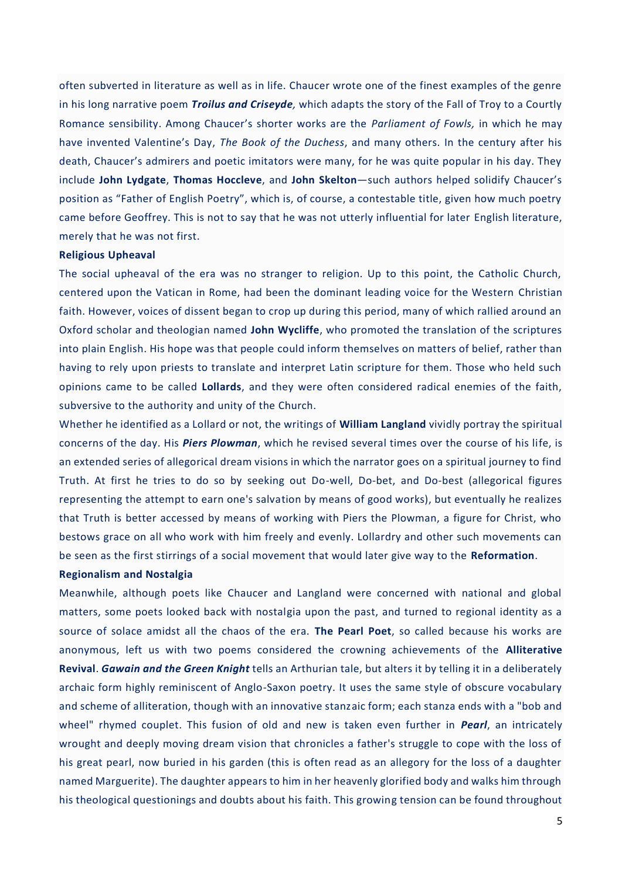often subverted in literature as well as in life. Chaucer wrote one of the finest examples of the genre in his long narrative poem *Troilus and Criseyde,* which adapts the story of the Fall of Troy to a Courtly Romance sensibility. Among Chaucer's shorter works are the *Parliament of Fowls,* in which he may have invented Valentine's Day, *The Book of the Duchess*, and many others. In the century after his death, Chaucer's admirers and poetic imitators were many, for he was quite popular in his day. They include **John Lydgate**, **Thomas Hoccleve**, and **John Skelton**—such authors helped solidify Chaucer's position as "Father of English Poetry", which is, of course, a contestable title, given how much poetry came before Geoffrey. This is not to say that he was not utterly influential for later English literature, merely that he was not first.

# **Religious Upheaval**

The social upheaval of the era was no stranger to religion. Up to this point, the Catholic Church, centered upon the Vatican in Rome, had been the dominant leading voice for the Western Christian faith. However, voices of dissent began to crop up during this period, many of which rallied around an Oxford scholar and theologian named **John Wycliffe**, who promoted the translation of the scriptures into plain English. His hope was that people could inform themselves on matters of belief, rather than having to rely upon priests to translate and interpret Latin scripture for them. Those who held such opinions came to be called **Lollards**, and they were often considered radical enemies of the faith, subversive to the authority and unity of the Church.

Whether he identified as a Lollard or not, the writings of **William Langland** vividly portray the spiritual concerns of the day. His *Piers Plowman*, which he revised several times over the course of his life, is an extended series of allegorical dream visions in which the narrator goes on a spiritual journey to find Truth. At first he tries to do so by seeking out Do-well, Do-bet, and Do-best (allegorical figures representing the attempt to earn one's salvation by means of good works), but eventually he realizes that Truth is better accessed by means of working with Piers the Plowman, a figure for Christ, who bestows grace on all who work with him freely and evenly. Lollardry and other such movements can be seen as the first stirrings of a social movement that would later give way to the **Reformation**.

#### **Regionalism and Nostalgia**

Meanwhile, although poets like Chaucer and Langland were concerned with national and global matters, some poets looked back with nostalgia upon the past, and turned to regional identity as a source of solace amidst all the chaos of the era. **The Pearl Poet**, so called because his works are anonymous, left us with two poems considered the crowning achievements of the **Alliterative Revival**. *Gawain and the Green Knight* tells an Arthurian tale, but alters it by telling it in a deliberately archaic form highly reminiscent of Anglo-Saxon poetry. It uses the same style of obscure vocabulary and scheme of alliteration, though with an innovative stanzaic form; each stanza ends with a "bob and wheel" rhymed couplet. This fusion of old and new is taken even further in *Pearl*, an intricately wrought and deeply moving dream vision that chronicles a father's struggle to cope with the loss of his great pearl, now buried in his garden (this is often read as an allegory for the loss of a daughter named Marguerite). The daughter appears to him in her heavenly glorified body and walks him through his theological questionings and doubts about his faith. This growing tension can be found throughout